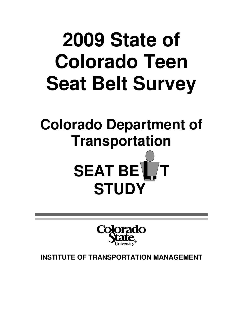# **2009 State of Colorado Teen Seat Belt Survey**

## **Colorado Department of Transportation**





**INSTITUTE OF TRANSPORTATION MANAGEMENT**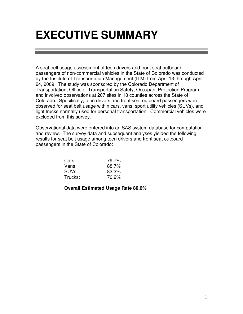### **EXECUTIVE SUMMARY**

A seat belt usage assessment of teen drivers and front seat outboard passengers of non-commercial vehicles in the State of Colorado was conducted by the Institute of Transportation Management (ITM) from April 13 through April 24, 2009. The study was sponsored by the Colorado Department of Transportation, Office of Transportation Safety, Occupant Protection Program and involved observations at 207 sites in 18 counties across the State of Colorado. Specifically, teen drivers and front seat outboard passengers were observed for seat belt usage within cars, vans, sport utility vehicles (SUVs), and light trucks normally used for personal transportation. Commercial vehicles were excluded from this survey.

Observational data were entered into an SAS system database for computation and review. The survey data and subsequent analyses yielded the following results for seat belt usage among teen drivers and front seat outboard passengers in the State of Colorado:

| Cars:              | 79.7% |
|--------------------|-------|
| Vans:              | 88.7% |
| SUV <sub>s</sub> : | 83.3% |
| Trucks:            | 70.2% |

#### **Overall Estimated Usage Rate 80.6%**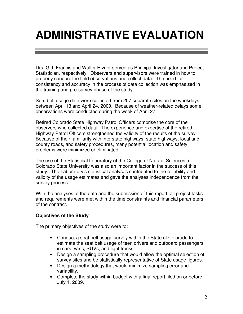### **ADMINISTRATIVE EVALUATION**

Drs. G.J. Francis and Walter Hivner served as Principal Investigator and Project Statistician, respectively. Observers and supervisors were trained in how to properly conduct the field observations and collect data. The need for consistency and accuracy in the process of data collection was emphasized in the training and pre-survey phase of the study.

Seat belt usage data were collected from 207 separate sites on the weekdays between April 13 and April 24, 2009. Because of weather-related delays some observations were conducted during the week of April 27.

Retired Colorado State Highway Patrol Officers comprise the core of the observers who collected data. The experience and expertise of the retired Highway Patrol Officers strengthened the validity of the results of the survey. Because of their familiarity with interstate highways, state highways, local and county roads, and safety procedures, many potential location and safety problems were minimized or eliminated.

The use of the Statistical Laboratory of the College of Natural Sciences at Colorado State University was also an important factor in the success of this study. The Laboratory's statistical analyses contributed to the reliability and validity of the usage estimates and gave the analyses independence from the survey process.

With the analyses of the data and the submission of this report, all project tasks and requirements were met within the time constraints and financial parameters of the contract.

#### **Objectives of the Study**

The primary objectives of the study were to:

- Conduct a seat belt usage survey within the State of Colorado to estimate the seat belt usage of teen drivers and outboard passengers in cars, vans, SUVs, and light trucks.
- Design a sampling procedure that would allow the optimal selection of survey sites and be statistically representative of State usage figures.
- Design a methodology that would minimize sampling error and variability.
- Complete the study within budget with a final report filed on or before July 1, 2009.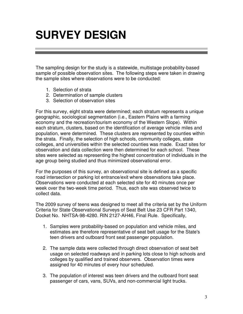### **SURVEY DESIGN**

The sampling design for the study is a statewide, multistage probability-based sample of possible observation sites. The following steps were taken in drawing the sample sites where observations were to be conducted:

- 1. Selection of strata
- 2. Determination of sample clusters
- 3. Selection of observation sites

For this survey, eight strata were determined; each stratum represents a unique geographic, sociological segmentation (i.e., Eastern Plains with a farming economy and the recreation/tourism economy of the Western Slope). Within each stratum, clusters, based on the identification of average vehicle miles and population, were determined. These clusters are represented by counties within the strata. Finally, the selection of high schools, community colleges, state colleges, and universities within the selected counties was made. Exact sites for observation and data collection were then determined for each school. These sites were selected as representing the highest concentration of individuals in the age group being studied and thus minimized observational error.

For the purposes of this survey, an observational site is defined as a specific road intersection or parking lot entrance/exit where observations take place. Observations were conducted at each selected site for 40 minutes once per week over the two-week time period. Thus, each site was observed twice to collect data.

The 2009 survey of teens was designed to meet all the criteria set by the Uniform Criteria for State Observational Surveys of Seat Belt Use 23 CFR Part 1340, Docket No. NHTSA-98-4280. RIN 2127-AH46, Final Rule. Specifically,

- 1. Samples were probability-based on population and vehicle miles, and estimates are therefore representative of seat belt usage for the State's teen drivers and outboard front seat passenger population.
- 2. The sample data were collected through direct observation of seat belt usage on selected roadways and in parking lots close to high schools and colleges by qualified and trained observers. Observation times were assigned for 40 minutes of every hour scheduled.
- 3. The population of interest was teen drivers and the outboard front seat passenger of cars, vans, SUVs, and non-commercial light trucks.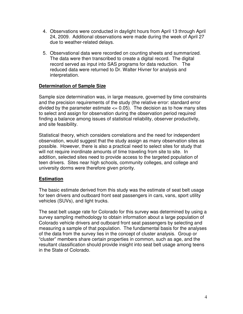- 4. Observations were conducted in daylight hours from April 13 through April 24, 2009. Additional observations were made during the week of April 27 due to weather-related delays.
- 5. Observational data were recorded on counting sheets and summarized. The data were then transcribed to create a digital record. The digital record served as input into SAS programs for data reduction. The reduced data were returned to Dr. Walter Hivner for analysis and interpretation.

#### **Determination of Sample Size**

Sample size determination was, in large measure, governed by time constraints and the precision requirements of the study (the relative error: standard error divided by the parameter estimate  $\leq$  0.05). The decision as to how many sites to select and assign for observation during the observation period required finding a balance among issues of statistical reliability, observer productivity, and site feasibility.

Statistical theory, which considers correlations and the need for independent observation, would suggest that the study assign as many observation sites as possible. However, there is also a practical need to select sites for study that will not require inordinate amounts of time traveling from site to site. In addition, selected sites need to provide access to the targeted population of teen drivers. Sites near high schools, community colleges, and college and university dorms were therefore given priority.

#### **Estimation**

The basic estimate derived from this study was the estimate of seat belt usage for teen drivers and outboard front seat passengers in cars, vans, sport utility vehicles (SUVs), and light trucks.

The seat belt usage rate for Colorado for this survey was determined by using a survey sampling methodology to obtain information about a large population of Colorado vehicle drivers and outboard front seat passengers by selecting and measuring a sample of that population. The fundamental basis for the analyses of the data from the survey lies in the concept of cluster analysis. Group or "cluster" members share certain properties in common, such as age, and the resultant classification should provide insight into seat belt usage among teens in the State of Colorado.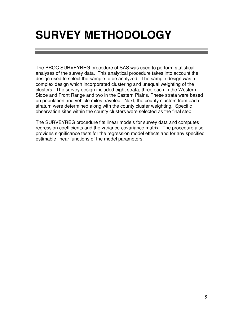### **SURVEY METHODOLOGY**

The PROC SURVEYREG procedure of SAS was used to perform statistical analyses of the survey data. This analytical procedure takes into account the design used to select the sample to be analyzed. The sample design was a complex design which incorporated clustering and unequal weighting of the clusters. The survey design included eight strata, three each in the Western Slope and Front Range and two in the Eastern Plains. These strata were based on population and vehicle miles traveled. Next, the county clusters from each stratum were determined along with the county cluster weighting. Specific observation sites within the county clusters were selected as the final step.

The SURVEYREG procedure fits linear models for survey data and computes regression coefficients and the variance-covariance matrix. The procedure also provides significance tests for the regression model effects and for any specified estimable linear functions of the model parameters.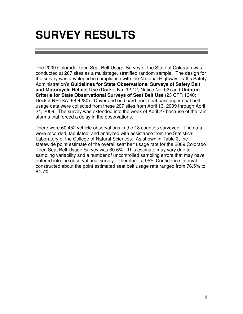### **SURVEY RESULTS**

The 2009 Colorado Teen Seat Belt Usage Survey of the State of Colorado was conducted at 207 sites as a multistage, stratified random sample. The design for the survey was developed in compliance with the National Highway Traffic Safety Administration's **Guidelines for State Observational Surveys of Safety Belt and Motorcycle Helmet Use (**Docket No. 92-12, Notice No. 02) and **Uniform Criteria for State Observational Surveys of Seat Belt Use** (23 CFR 1340; Docket NHTSA -98-4280). Driver and outboard front seat passenger seat belt usage data were collected from these 207 sites from April 13, 2009 through April 24, 2009. The survey was extended into the week of April 27 because of the rain storms that forced a delay in the observations.

There were 60,452 vehicle observations in the 18 counties surveyed. The data were recorded, tabulated, and analyzed with assistance from the Statistical Laboratory of the College of Natural Sciences. As shown in Table 3, the statewide point estimate of the overall seat belt usage rate for the 2009 Colorado Teen Seat Belt Usage Survey was 80.6%. This estimate may vary due to sampling variability and a number of uncontrolled sampling errors that may have entered into the observational survey. Therefore, a 95% Confidence Interval constructed about the point estimated seat belt usage rate ranged from 76.5% to 84.7%.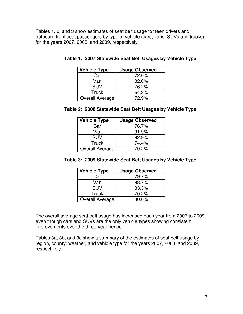Tables 1, 2, and 3 show estimates of seat belt usage for teen drivers and outboard front seat passengers by type of vehicle (cars, vans, SUVs and trucks) for the years 2007, 2008, and 2009, respectively.

| <b>Vehicle Type</b>    | <b>Usage Observed</b> |
|------------------------|-----------------------|
| Car                    | 72.0%                 |
| Van                    | 82.0%                 |
| <b>SUV</b>             | 76.2%                 |
| <b>Truck</b>           | 64.3%                 |
| <b>Overall Average</b> | 72.9%                 |

|  |  | Table 1: 2007 Statewide Seat Belt Usages by Vehicle Type |  |  |  |  |  |  |
|--|--|----------------------------------------------------------|--|--|--|--|--|--|
|--|--|----------------------------------------------------------|--|--|--|--|--|--|

|  | Table 2: 2008 Statewide Seat Belt Usages by Vehicle Type |  |  |  |
|--|----------------------------------------------------------|--|--|--|
|--|----------------------------------------------------------|--|--|--|

| <b>Vehicle Type</b>    | <b>Usage Observed</b> |
|------------------------|-----------------------|
| Car                    | 76.7%                 |
| Van                    | 91.9%                 |
| <b>SUV</b>             | 82.9%                 |
| <b>Truck</b>           | 74.4%                 |
| <b>Overall Average</b> | 79.2%                 |

|  | Table 3: 2009 Statewide Seat Belt Usages by Vehicle Type |  |  |  |
|--|----------------------------------------------------------|--|--|--|
|--|----------------------------------------------------------|--|--|--|

| <b>Vehicle Type</b> | <b>Usage Observed</b> |
|---------------------|-----------------------|
| Car                 | 79.7%                 |
| Van                 | 88.7%                 |
| <b>SUV</b>          | 83.3%                 |
| <b>Truck</b>        | 70.2%                 |
| Overall Average     | 80.6%                 |

The overall average seat belt usage has increased each year from 2007 to 2009 even though cars and SUVs are the only vehicle types showing consistent improvements over the three-year period.

Tables 3a, 3b, and 3c show a summary of the estimates of seat belt usage by region, county, weather, and vehicle type for the years 2007, 2008, and 2009, respectively.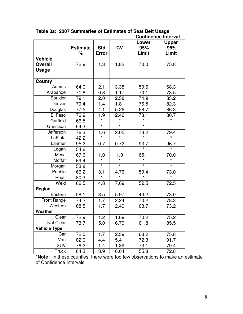|                     |                 | <b>CONNUCTICE INTERVAL</b> |           |                  |              |
|---------------------|-----------------|----------------------------|-----------|------------------|--------------|
|                     |                 |                            |           | Lower            | <b>Upper</b> |
|                     | <b>Estimate</b> | <b>Std</b>                 | <b>CV</b> | 95%              | 95%          |
|                     | %               | <b>Error</b>               |           | Limit            | Limit        |
| <b>Vehicle</b>      |                 |                            |           |                  |              |
|                     |                 |                            |           |                  |              |
| <b>Overall</b>      | 72.9            | 1.3                        | 1.82      | 70.0             | 75.8         |
| Usage               |                 |                            |           |                  |              |
|                     |                 |                            |           |                  |              |
| County              |                 |                            |           |                  |              |
| Adams               | 64.0            | 2.1                        | 3.35      | 59.6             | 68.3         |
| Arapahoe            | 71.8            | 0.8                        | 1.17      | 70.1             | 73.5         |
| <b>Boulder</b>      | 79.1            | 2.0                        | 2.58      | 74.9             | 83.2         |
| Denver              | 79.4            | 1.4                        | 1.81      | 76.5             | 82.3         |
| Douglas             | 77.5            | 4.1                        | 5.26      | 68.7             | 86.3         |
| El Paso             | 76.9            | 1.9                        | 2.46      | 73.1             | 80.7         |
| Garfield            | 66.5            |                            | $\star$   |                  |              |
| Gunnison            | 64.3            | $\star$                    | $\star$   | $\star$          | $\star$      |
| Jefferson           | 76.3            | 1.6                        | 2.05      | $\frac{73.2}{*}$ | 79.4         |
| LaPlata             | 42.2            |                            |           |                  |              |
| Larimer             | 95.2            | 0.7                        | 0.72      | 93.7             | 96.7         |
| Logan               | 54.6            |                            |           | $\star$          | $\star$      |
| Mesa                | 67.6            | 1.0                        | 1.0       | 65.1             | 70.0         |
| Moffat              | 69.4            | $\overline{\ast}$          | $\star$   | $\star$          | $\star$      |
| Morgan              | 53.8            | $\star$                    | $\star$   | $\star$          | $\star$      |
| Pueblo              | 66.2            | 3.1                        | 4.76      | 59.4             | 73.0         |
| Routt               | 80.3            | $\overline{\ast}$          | $\star$   | $\star$          |              |
| Weld                | 62.5            | 4.8                        | 7.69      | 52.5             | 72.5         |
| Region              |                 |                            |           |                  |              |
| Eastern             | 58.1            | 3.5                        | 5.97      | 43.2             | 73.0         |
| Front Range         | 74.2            | 1.7                        | 2.24      | 70.2             | 78.3         |
| Western             | 68.5            | 1.7                        | 2.49      | 63.7             | 73.2         |
| Weather             |                 |                            |           |                  |              |
| Clear               | 72.9            | $1.2$                      | 1.69      | 70.2             | 75.2         |
| Not Clear           | 73.7            | 5.0                        | 6.79      | 61.8             | 85.5         |
| <b>Vehicle Type</b> |                 |                            |           |                  |              |
| Car                 | 72.0            | 1.7                        | 2.39      | 68.2             | 75.8         |
| Van                 | 82.0            | 4.4                        | 5.41      | 72.3             | 91.7         |
| <b>SUV</b>          | 76.2            | 1.4                        | 1.89      | 73.1             | 79.4         |
| <b>Truck</b>        | 64.3            | 3.9                        | 6.04      | 55.8             | 72.8         |

**Table 3a: 2007 Summaries of Estimates of Seat Belt Usage Confidence Interval** 

**\*Note:** In these counties, there were too few observations to make an estimate of Confidence Intervals.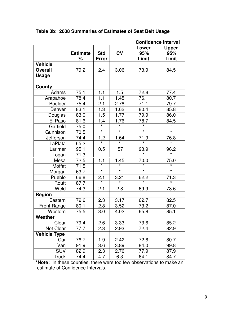|                         |                      |                            |                   |                       | <b>Confidence Interval</b>   |
|-------------------------|----------------------|----------------------------|-------------------|-----------------------|------------------------------|
|                         | <b>Estimate</b><br>% | <b>Std</b><br><b>Error</b> | CV                | Lower<br>95%<br>Limit | <b>Upper</b><br>95%<br>Limit |
| <b>Vehicle</b>          |                      |                            |                   |                       |                              |
| <b>Overall</b><br>Usage | 79.2                 | 2.4                        | 3.06              | 73.9                  | 84.5                         |
| County                  |                      |                            |                   |                       |                              |
| Adams                   | 75.1                 | 1.1                        | 1.5               | 72.8                  | 77.4                         |
| Arapahoe                | 78.4                 | 1.1                        | 1.45              | 76.1                  | 80.7                         |
| <b>Boulder</b>          | 75.4                 | 2.1                        | 2.78              | 71.1                  | 79.7                         |
| Denver                  | 83.1                 | 1.3                        | 1.62              | 80.4                  | 85.8                         |
| Douglas                 | 83.0                 | 1.5                        | 1.77              | 79.9                  | 86.0                         |
| El Paso                 | 81.6                 | 1.4                        | 1.76              | 78.7                  | 84.5                         |
| Garfield                | 75.0                 |                            |                   |                       |                              |
| Gunnison                | 70.5                 | $\star$                    | $\overline{\ast}$ | $\star$               | $\star$                      |
| Jefferson               | 74.4                 | 1.2                        | 1.64              | 71.9                  | 76.8                         |
| LaPlata                 | 65.2                 |                            |                   |                       |                              |
| Larimer                 | 95.1                 | 0.5                        | .57               | 93.9                  | 96.2                         |
| Logan                   | 71.3                 |                            |                   | $\star$               |                              |
| Mesa                    | 72.5                 | 1.1                        | 1.45              | 70.0                  | 75.0                         |
| Moffat                  | 71.5                 | $\overline{\ast}$          |                   |                       |                              |
| Morgan                  | 63.7                 | $\overline{\ast}$          | $\star$           | $\star$               | $\star$                      |
| Pueblo                  | 66.8                 | 2.1                        | 3.21              | 62.2                  | 71.3                         |
| Routt                   | 87.7                 | $\overline{\ast}$          | $\star$           | $\star$               |                              |
| Weld                    | 74.3                 | 2.1                        | 2.8               | 69.9                  | 78.6                         |
| Region                  |                      |                            |                   |                       |                              |
| Eastern                 | 72.6                 | 2.3                        | 3.17              | 62.7                  | 82.5                         |
| <b>Front Range</b>      | 80.1                 | 2.8                        | 3.52              | 73.2                  | 87.0                         |
| Western                 | 75.5                 | 3.0                        | 4.02              | 65.8                  | 85.1                         |
| Weather                 |                      |                            |                   |                       |                              |
| Clear                   | 79.4                 | 2.6                        | 3.33              | 73.6                  | 85.2                         |
| Not Clear               | 77.7                 | 2.3                        | 2.93              | 72.4                  | 82.9                         |
| <b>Vehicle Type</b>     |                      |                            |                   |                       |                              |
| Car                     | 76.7                 | 1.9                        | 2.42              | 72.6                  | 80.7                         |
| Van                     | 91.9                 | 3.6                        | 3.89              | 84.0                  | 99.8                         |
| <b>SUV</b>              | 82.9                 | 2.3                        | 2.76              | 77.9                  | 87.9                         |
| Truck                   | 74.4                 | 4.7                        | 6.3               | 64.1                  | 84.7                         |

**Table 3b: 2008 Summaries of Estimates of Seat Belt Usage** 

**\*Note:** In these counties, there were too few observations to make an estimate of Confidence Intervals.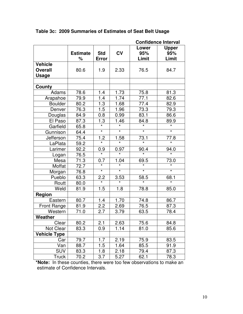|                         |                      |                            |         |                       | <b>Confidence Interval</b>   |
|-------------------------|----------------------|----------------------------|---------|-----------------------|------------------------------|
|                         | <b>Estimate</b><br>℅ | <b>Std</b><br><b>Error</b> | CV      | Lower<br>95%<br>Limit | <b>Upper</b><br>95%<br>Limit |
| <b>Vehicle</b>          |                      |                            |         |                       |                              |
| <b>Overall</b><br>Usage | 80.6                 | 1.9                        | 2.33    | 76.5                  | 84.7                         |
| County                  |                      |                            |         |                       |                              |
| Adams                   | 78.6                 | 1.4                        | 1.73    | 75.8                  | 81.3                         |
| Arapahoe                | 79.9                 | 1.4                        | 1.74    | 77.1                  | 82.6                         |
| <b>Boulder</b>          | 80.2                 | 1.3                        | 1.68    | 77.4                  | 82.9                         |
| Denver                  | 76.3                 | 1.5                        | 1.96    | 73.3                  | 79.3                         |
| Douglas                 | 84.9                 | 0.8                        | 0.99    | 83.1                  | 86.6                         |
| El Paso                 | 87.3                 | 1.3                        | 1.46    | 84.8                  | 89.9                         |
| Garfield                | 65.8                 |                            |         | $\star$               |                              |
| Gunnison                | 64.4                 | $\star$                    | $\star$ | $\star$               | $\star$                      |
| Jefferson               | 75.4                 | 1.2                        | 1.58    | <u>73.1</u>           | 77.8                         |
| LaPlata                 | 59.2                 |                            |         |                       |                              |
| Larimer                 | 92.2                 | 0.9                        | 0.97    | 90.4                  | 94.0                         |
| Logan                   | 76.5                 |                            |         | $\star$               | $\star$                      |
| Mesa                    | 71.3                 | 0.7                        | 1.04    | 69.5                  | 73.0                         |
| Moffat                  | 72.7                 | $\overline{\ast}$          | $\star$ | $\star$               |                              |
| Morgan                  | 76.8                 | $\overline{\ast}$          | $\star$ | $\star$               | $\star$                      |
| Pueblo                  | 63.3                 | 2.2                        | 3.53    | 58.5                  | 68.1                         |
| Routt                   | 80.0                 | $\overline{\ast}$          | $\star$ | $\star$               | $\star$                      |
| Weld                    | 81.9                 | 1.5                        | 1.8     | 78.8                  | 85.0                         |
| Region                  |                      |                            |         |                       |                              |
| Eastern                 | 80.7                 | 1.4                        | 1.70    | 74.8                  | 86.7                         |
| <b>Front Range</b>      | 81.9                 | 2.2                        | 2.69    | 76.5                  | 87.3                         |
| Western                 | 71.0                 | 2.7                        | 3.79    | 63.5                  | 78.4                         |
| Weather                 |                      |                            |         |                       |                              |
| Clear                   | 80.2                 | 2.1                        | 2.63    | 75.6                  | 84.8                         |
| Not Clear               | 83.3                 | 0.9                        | 1.14    | 81.0                  | 85.6                         |
| <b>Vehicle Type</b>     |                      |                            |         |                       |                              |
| Car                     | 79.7                 | 1.7                        | 2.19    | 75.9                  | 83.5                         |
| Van                     | 88.7                 | 1.5                        | 1.64    | 85.5                  | 91.9                         |
| <b>SUV</b>              | 83.3                 | 1.8                        | 2.18    | 79.4                  | 87.3                         |
| Truck                   | 70.2                 | 3.7                        | 5.27    | 62.1                  | 78.3                         |

**Table 3c: 2009 Summaries of Estimates of Seat Belt Usage** 

**\*Note:** In these counties, there were too few observations to make an estimate of Confidence Intervals.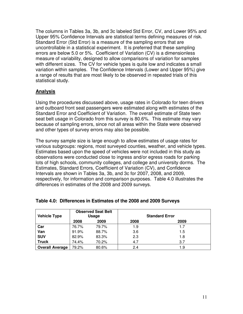The columns in Tables 3a, 3b, and 3c labeled Std Error, CV, and Lower 95% and Upper 95% Confidence Intervals are statistical terms defining measures of risk. Standard Error (Std Error) is a measure of the sampling errors that are uncontrollable in a statistical experiment. It is preferred that these sampling errors are below 5.0 or 5%. Coefficient of Variation (CV) is a dimensionless measure of variability, designed to allow comparisons of variation for samples with different sizes. The CV for vehicle types is quite low and indicates a small variation within samples. The Confidence Intervals (Lower and Upper 95%) give a range of results that are most likely to be observed in repeated trials of this statistical study.

#### **Analysis**

Using the procedures discussed above, usage rates in Colorado for teen drivers and outboard front seat passengers were estimated along with estimates of the Standard Error and Coefficient of Variation. The overall estimate of State teen seat belt usage in Colorado from this survey is 80.6%. This estimate may vary because of sampling errors, since not all areas within the State were observed and other types of survey errors may also be possible.

The survey sample size is large enough to allow estimates of usage rates for various subgroups: regions, most surveyed counties, weather, and vehicle types. Estimates based upon the speed of vehicles were not included in this study as observations were conducted close to ingress and/or egress roads for parking lots of high schools, community colleges, and college and university dorms. The Estimates, Standard Errors, Coefficient of Variation (CV), and Confidence Intervals are shown in Tables 3a, 3b, and 3c for 2007, 2008, and 2009, respectively, for information and comparison purposes. Table 4.0 illustrates the differences in estimates of the 2008 and 2009 surveys.

| <b>Vehicle Type</b>    |       | <b>Observed Seat Belt</b><br>Usage |      | <b>Standard Error</b> |
|------------------------|-------|------------------------------------|------|-----------------------|
|                        | 2008  | 2009                               | 2008 | 2009                  |
| Car                    | 76.7% | 79.7%                              | 1.9  | 1.7                   |
| Van                    | 91.9% | 88.7%                              | 3.6  | 1.5                   |
| <b>SUV</b>             | 82.9% | 83.3%                              | 2.3  | 1.8                   |
| <b>Truck</b>           | 74.4% | 70.2%                              | 4.7  | 3.7                   |
| <b>Overall Average</b> | 79.2% | 80.6%                              | 2.4  | 1.9                   |

#### **Table 4.0: Differences in Estimates of the 2008 and 2009 Surveys**